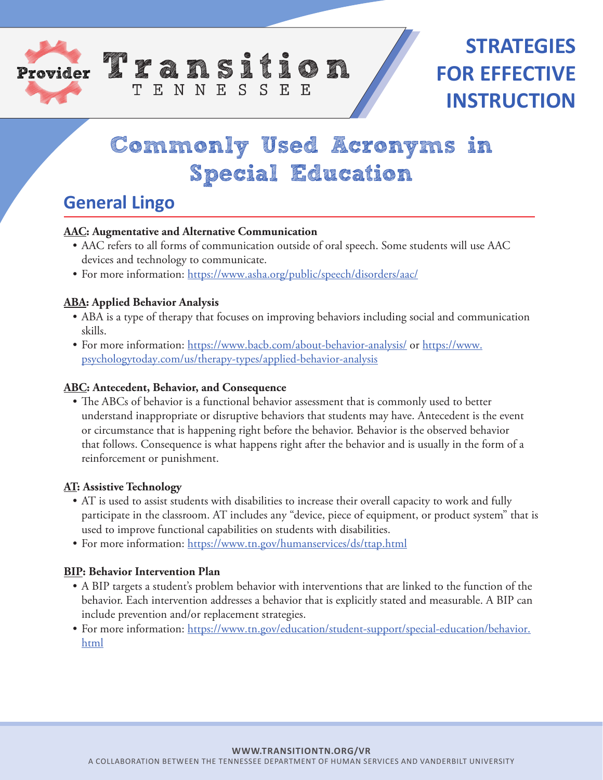



# **Commonly Used Acronyms in Special Education**

# **General Lingo**

#### **AAC: Augmentative and Alternative Communication**

TENNESSEE

- AAC refers to all forms of communication outside of oral speech. Some students will use AAC devices and technology to communicate.
- For more information: https://www.asha.org/public/speech/disorders/aac/

### **ABA: Applied Behavior Analysis**

- ABA is a type of therapy that focuses on improving behaviors including social and communication skills.
- For more information: https://www.bacb.com/about-behavior-analysis/ or https://www. psychologytoday.com/us/therapy-types/applied-behavior-analysis

#### **ABC: Antecedent, Behavior, and Consequence**

• The ABCs of behavior is a functional behavior assessment that is commonly used to better understand inappropriate or disruptive behaviors that students may have. Antecedent is the event or circumstance that is happening right before the behavior. Behavior is the observed behavior that follows. Consequence is what happens right after the behavior and is usually in the form of a reinforcement or punishment.

#### **AT: Assistive Technology**

- AT is used to assist students with disabilities to increase their overall capacity to work and fully participate in the classroom. AT includes any "device, piece of equipment, or product system" that is used to improve functional capabilities on students with disabilities.
- For more information: https://www.tn.gov/humanservices/ds/ttap.html

#### **BIP: Behavior Intervention Plan**

- A BIP targets a student's problem behavior with interventions that are linked to the function of the behavior. Each intervention addresses a behavior that is explicitly stated and measurable. A BIP can include prevention and/or replacement strategies.
- For more information: https://www.tn.gov/education/student-support/special-education/behavior. html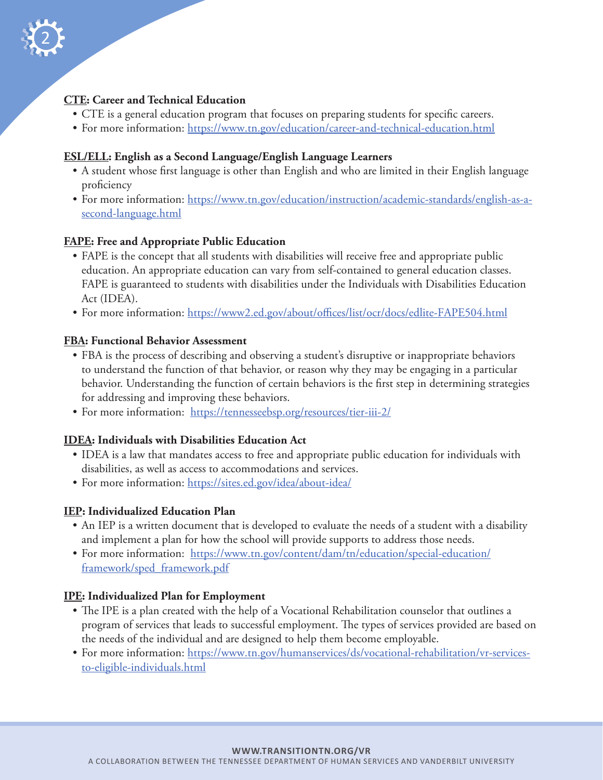

### **CTE: Career and Technical Education**

- CTE is a general education program that focuses on preparing students for specific careers.
- For more information: https://www.tn.gov/education/career-and-technical-education.html

### **ESL/ELL: English as a Second Language/English Language Learners**

- A student whose first language is other than English and who are limited in their English language proficiency
- For more information: https://www.tn.gov/education/instruction/academic-standards/english-as-asecond-language.html

### **FAPE: Free and Appropriate Public Education**

- FAPE is the concept that all students with disabilities will receive free and appropriate public education. An appropriate education can vary from self-contained to general education classes. FAPE is guaranteed to students with disabilities under the Individuals with Disabilities Education Act (IDEA).
- For more information: https://www2.ed.gov/about/offices/list/ocr/docs/edlite-FAPE504.html

### **FBA: Functional Behavior Assessment**

- FBA is the process of describing and observing a student's disruptive or inappropriate behaviors to understand the function of that behavior, or reason why they may be engaging in a particular behavior. Understanding the function of certain behaviors is the first step in determining strategies for addressing and improving these behaviors.
- For more information: https://tennesseebsp.org/resources/tier-iii-2/

# **IDEA: Individuals with Disabilities Education Act**

- IDEA is a law that mandates access to free and appropriate public education for individuals with disabilities, as well as access to accommodations and services.
- For more information: https://sites.ed.gov/idea/about-idea/

#### **IEP: Individualized Education Plan**

- An IEP is a written document that is developed to evaluate the needs of a student with a disability and implement a plan for how the school will provide supports to address those needs.
- For more information: https://www.tn.gov/content/dam/tn/education/special-education/ framework/sped\_framework.pdf

# **IPE: Individualized Plan for Employment**

- The IPE is a plan created with the help of a Vocational Rehabilitation counselor that outlines a program of services that leads to successful employment. The types of services provided are based on the needs of the individual and are designed to help them become employable.
- For more information: https://www.tn.gov/humanservices/ds/vocational-rehabilitation/vr-servicesto-eligible-individuals.html

#### **WWW.TRANSITIONTN.ORG/VR**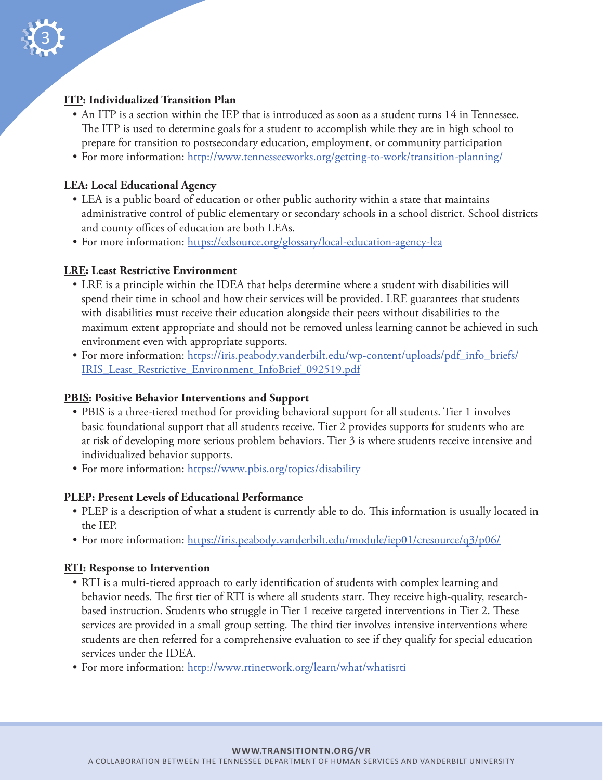

# **ITP: Individualized Transition Plan**

- An ITP is a section within the IEP that is introduced as soon as a student turns 14 in Tennessee. The ITP is used to determine goals for a student to accomplish while they are in high school to prepare for transition to postsecondary education, employment, or community participation
- For more information: http://www.tennesseeworks.org/getting-to-work/transition-planning/

#### **LEA: Local Educational Agency**

- LEA is a public board of education or other public authority within a state that maintains administrative control of public elementary or secondary schools in a school district. School districts and county offices of education are both LEAs.
- For more information: https://edsource.org/glossary/local-education-agency-lea

#### **LRE: Least Restrictive Environment**

- LRE is a principle within the IDEA that helps determine where a student with disabilities will spend their time in school and how their services will be provided. LRE guarantees that students with disabilities must receive their education alongside their peers without disabilities to the maximum extent appropriate and should not be removed unless learning cannot be achieved in such environment even with appropriate supports.
- For more information: https://iris.peabody.vanderbilt.edu/wp-content/uploads/pdf\_info\_briefs/ IRIS\_Least\_Restrictive\_Environment\_InfoBrief\_092519.pdf

#### **PBIS: Positive Behavior Interventions and Support**

- PBIS is a three-tiered method for providing behavioral support for all students. Tier 1 involves basic foundational support that all students receive. Tier 2 provides supports for students who are at risk of developing more serious problem behaviors. Tier 3 is where students receive intensive and individualized behavior supports.
- For more information: https://www.pbis.org/topics/disability

#### **PLEP: Present Levels of Educational Performance**

- PLEP is a description of what a student is currently able to do. This information is usually located in the IEP.
- For more information: https://iris.peabody.vanderbilt.edu/module/iep01/cresource/q3/p06/

#### **RTI: Response to Intervention**

- RTI is a multi-tiered approach to early identification of students with complex learning and behavior needs. The first tier of RTI is where all students start. They receive high-quality, researchbased instruction. Students who struggle in Tier 1 receive targeted interventions in Tier 2. These services are provided in a small group setting. The third tier involves intensive interventions where students are then referred for a comprehensive evaluation to see if they qualify for special education services under the IDEA.
- For more information: http://www.rtinetwork.org/learn/what/whatisrti

#### **WWW.TRANSITIONTN.ORG/VR**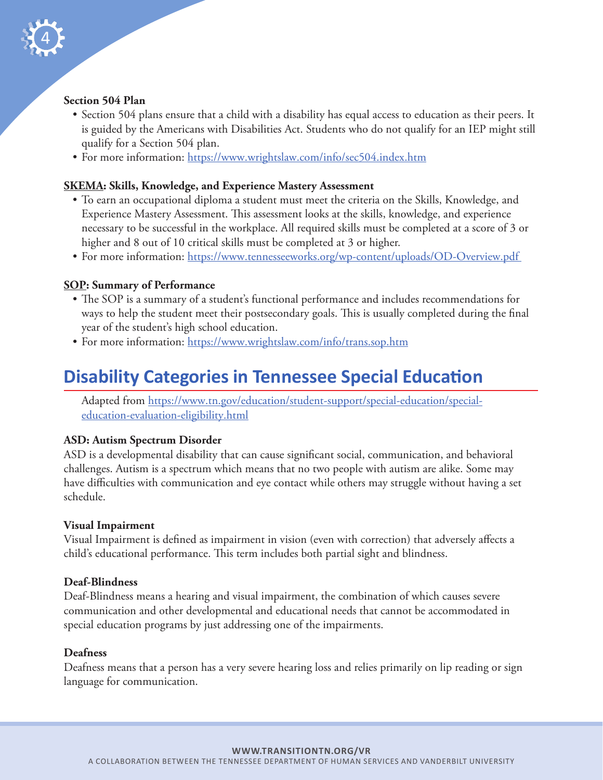

### **Section 504 Plan**

- Section 504 plans ensure that a child with a disability has equal access to education as their peers. It is guided by the Americans with Disabilities Act. Students who do not qualify for an IEP might still qualify for a Section 504 plan.
- For more information: https://www.wrightslaw.com/info/sec504.index.htm

### **SKEMA: Skills, Knowledge, and Experience Mastery Assessment**

- To earn an occupational diploma a student must meet the criteria on the Skills, Knowledge, and Experience Mastery Assessment. This assessment looks at the skills, knowledge, and experience necessary to be successful in the workplace. All required skills must be completed at a score of 3 or higher and 8 out of 10 critical skills must be completed at 3 or higher.
- For more information: https://www.tennesseeworks.org/wp-content/uploads/OD-Overview.pdf

### **SOP: Summary of Performance**

- The SOP is a summary of a student's functional performance and includes recommendations for ways to help the student meet their postsecondary goals. This is usually completed during the final year of the student's high school education.
- For more information: https://www.wrightslaw.com/info/trans.sop.htm

# **Disability Categories in Tennessee Special Education**

Adapted from https://www.tn.gov/education/student-support/special-education/specialeducation-evaluation-eligibility.html

#### **ASD: Autism Spectrum Disorder**

ASD is a developmental disability that can cause significant social, communication, and behavioral challenges. Autism is a spectrum which means that no two people with autism are alike. Some may have difficulties with communication and eye contact while others may struggle without having a set schedule.

#### **Visual Impairment**

Visual Impairment is defined as impairment in vision (even with correction) that adversely affects a child's educational performance. This term includes both partial sight and blindness.

#### **Deaf-Blindness**

Deaf-Blindness means a hearing and visual impairment, the combination of which causes severe communication and other developmental and educational needs that cannot be accommodated in special education programs by just addressing one of the impairments.

#### **Deafness**

Deafness means that a person has a very severe hearing loss and relies primarily on lip reading or sign language for communication.

#### **WWW.TRANSITIONTN.ORG/VR**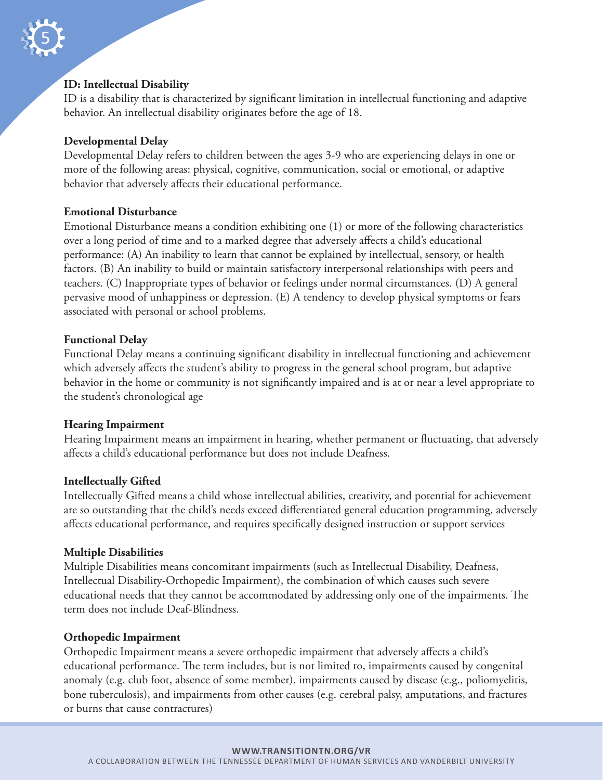

#### **ID: Intellectual Disability**

ID is a disability that is characterized by significant limitation in intellectual functioning and adaptive behavior. An intellectual disability originates before the age of 18.

#### **Developmental Delay**

Developmental Delay refers to children between the ages 3-9 who are experiencing delays in one or more of the following areas: physical, cognitive, communication, social or emotional, or adaptive behavior that adversely affects their educational performance.

#### **Emotional Disturbance**

Emotional Disturbance means a condition exhibiting one (1) or more of the following characteristics over a long period of time and to a marked degree that adversely affects a child's educational performance: (A) An inability to learn that cannot be explained by intellectual, sensory, or health factors. (B) An inability to build or maintain satisfactory interpersonal relationships with peers and teachers. (C) Inappropriate types of behavior or feelings under normal circumstances. (D) A general pervasive mood of unhappiness or depression. (E) A tendency to develop physical symptoms or fears associated with personal or school problems.

### **Functional Delay**

Functional Delay means a continuing significant disability in intellectual functioning and achievement which adversely affects the student's ability to progress in the general school program, but adaptive behavior in the home or community is not significantly impaired and is at or near a level appropriate to the student's chronological age

#### **Hearing Impairment**

Hearing Impairment means an impairment in hearing, whether permanent or fluctuating, that adversely affects a child's educational performance but does not include Deafness.

#### **Intellectually Gifted**

Intellectually Gifted means a child whose intellectual abilities, creativity, and potential for achievement are so outstanding that the child's needs exceed differentiated general education programming, adversely affects educational performance, and requires specifically designed instruction or support services

#### **Multiple Disabilities**

Multiple Disabilities means concomitant impairments (such as Intellectual Disability, Deafness, Intellectual Disability-Orthopedic Impairment), the combination of which causes such severe educational needs that they cannot be accommodated by addressing only one of the impairments. The term does not include Deaf-Blindness.

#### **Orthopedic Impairment**

Orthopedic Impairment means a severe orthopedic impairment that adversely affects a child's educational performance. The term includes, but is not limited to, impairments caused by congenital anomaly (e.g. club foot, absence of some member), impairments caused by disease (e.g., poliomyelitis, bone tuberculosis), and impairments from other causes (e.g. cerebral palsy, amputations, and fractures or burns that cause contractures)

#### **WWW.TRANSITIONTN.ORG/VR**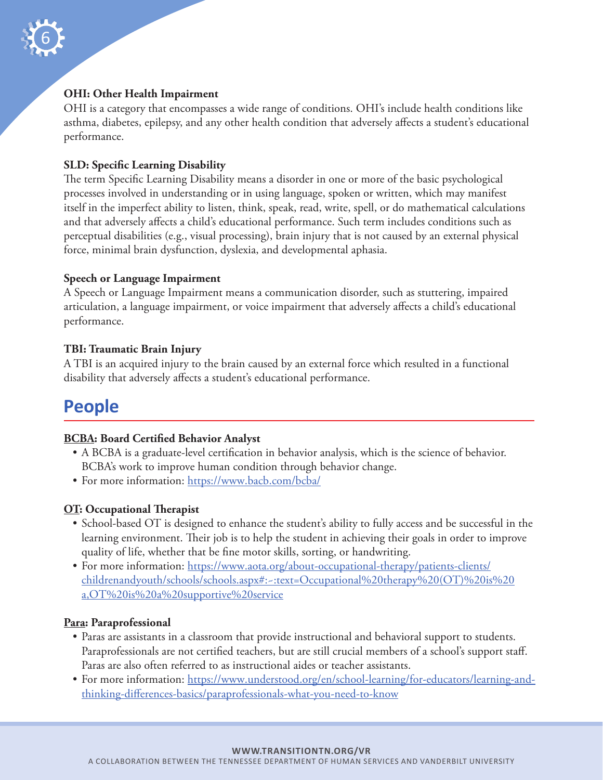

#### **OHI: Other Health Impairment**

OHI is a category that encompasses a wide range of conditions. OHI's include health conditions like asthma, diabetes, epilepsy, and any other health condition that adversely affects a student's educational performance.

### **SLD: Specific Learning Disability**

The term Specific Learning Disability means a disorder in one or more of the basic psychological processes involved in understanding or in using language, spoken or written, which may manifest itself in the imperfect ability to listen, think, speak, read, write, spell, or do mathematical calculations and that adversely affects a child's educational performance. Such term includes conditions such as perceptual disabilities (e.g., visual processing), brain injury that is not caused by an external physical force, minimal brain dysfunction, dyslexia, and developmental aphasia.

#### **Speech or Language Impairment**

A Speech or Language Impairment means a communication disorder, such as stuttering, impaired articulation, a language impairment, or voice impairment that adversely affects a child's educational performance.

#### **TBI: Traumatic Brain Injury**

A TBI is an acquired injury to the brain caused by an external force which resulted in a functional disability that adversely affects a student's educational performance.

# **People**

#### **BCBA: Board Certified Behavior Analyst**

- A BCBA is a graduate-level certification in behavior analysis, which is the science of behavior. BCBA's work to improve human condition through behavior change.
- For more information: https://www.bacb.com/bcba/

#### **OT: Occupational Therapist**

- School-based OT is designed to enhance the student's ability to fully access and be successful in the learning environment. Their job is to help the student in achieving their goals in order to improve quality of life, whether that be fine motor skills, sorting, or handwriting.
- For more information: https://www.aota.org/about-occupational-therapy/patients-clients/ childrenandyouth/schools/schools.aspx#:~:text=Occupational%20therapy%20(OT)%20is%20 a,OT%20is%20a%20supportive%20service

#### **Para: Paraprofessional**

- Paras are assistants in a classroom that provide instructional and behavioral support to students. Paraprofessionals are not certified teachers, but are still crucial members of a school's support staff. Paras are also often referred to as instructional aides or teacher assistants.
- For more information: https://www.understood.org/en/school-learning/for-educators/learning-andthinking-differences-basics/paraprofessionals-what-you-need-to-know

#### **WWW.TRANSITIONTN.ORG/VR**